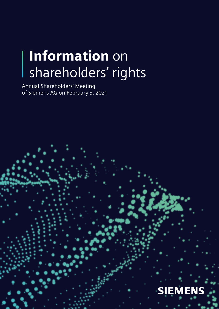# Information on shareholders' rights

Annual Shareholders' Meeting of Siemens AG on February 3, 2021

I

# **SIEMENS**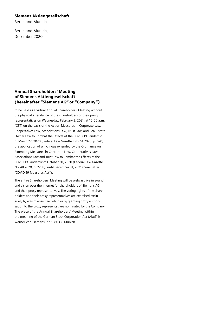#### Siemens Aktiengesellschaft

Berlin and Munich

Berlin and Munich, December 2020

#### Annual Shareholders' Meeting of Siemens Aktiengesellschaft (hereinafter "Siemens AG" or "Company")

to be held as a virtual Annual Shareholders' Meeting without the physical attendance of the shareholders or their proxy representatives on Wednesday, February 3, 2021, at 10:00 a.m. (CET) on the basis of the Act on Measures in Corporate Law, Cooperatives Law, Associations Law, Trust Law, and Real Estate Owner Law to Combat the Effects of the COVID-19 Pandemic of March 27, 2020 (Federal Law Gazette I No. 14 2020, p. 570), the application of which was extended by the Ordinance on Extending Measures in Corporate Law, Cooperatives Law, Associations Law and Trust Law to Combat the Effects of the COVID-19 Pandemic of October 20, 2020 (Federal Law Gazette I No. 48 2020, p. 2258), until December 31, 2021 (hereinafter "COVID-19 Measures Act").

The entire Shareholders' Meeting will be webcast live in sound and vision over the Internet for shareholders of Siemens AG and their proxy representatives. The voting rights of the shareholders and their proxy representatives are exercised exclusively by way of absentee voting or by granting proxy authorization to the proxy representatives nominated by the Company. The place of the Annual Shareholders' Meeting within the meaning of the German Stock Corporation Act (AktG) is Werner-von-Siemens-Str. 1, 80333 Munich.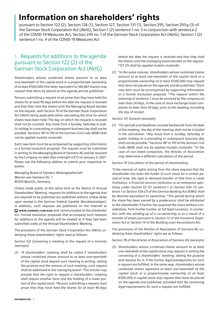# Information on shareholders' rights

pursuant to Section 122 (2), Section 126 (1), Section 127, Section 131 (1), Section 295, Section 293g (3) of the German Stock Corporation Act (AktG), Section 1 (2) sentence 1 no. 3 in conjunction with sentence 2 of the COVID-19 Measures Act, Section 245 no.1 of the German Stock Corporation Act (AktG), Section 1 (2) sentence 1 no. 4 of the COVID-19 Measures Act

### 1. Requests for additions to the agenda pursuant to Section 122 (2) of the German Stock Corporation Act (AktG)

Shareholders whose combined shares amount to at least one-twentieth of the capital stock or a proportionate ownership of at least €500,000 (the latter equivalent to 166,667 shares) may request that items be placed on the agenda and be published.

Persons submitting a request must prove that they have held the shares for at least 90 days before the date the request is received and that they hold the shares until the Managing Board decides on the request, with Section 70 of the German Stock Corporation Act (AktG) being applicable when calculating the time for which shares have been held. The day on which the request is received shall not be counted. Any move from a Sunday, Saturday or public holiday to a preceding or subsequent business day shall not be possible. Sections 187 to 193 of the German Civil Code (BGB) shall not be applied *mutatis mutandis*.

Each new item must be accompanied by supporting information or a formal resolution proposal. The request must be submitted in writing to the Managing Board of Siemens AG and be received by the Company no later than midnight (CET) on January 3, 2021. Please use the following address to submit your respective requests:

Managing Board of Siemens Aktiengesellschaft Werner-von-Siemens-Str. 1 80333 Munich, Germany.

Unless made public at the same time as the Notice of Annual Shareholders' Meeting, requests for additions to the agenda that are required to be published are published without undue delay upon receipt in the German Federal Gazette (Bundesanzeiger). In addition, such requests are published on the Internet at [WWW.SIEMENS.COM/AGM](http://www.siemens.com/agm) and communicated to the shareholders. Formal resolution proposals that accompany such requests for additions to the agenda will be treated as if they had been submitted orally at the Annual Shareholders' Meeting.

The provisions of the German Stock Corporation Act (AktG) underlying these shareholders' rights read as follows:

*Section 122 Convening a meeting at the request of a minority (excerpts)*

*(1)* **<sup>1</sup>***A shareholders' meeting shall be called if shareholders whose combined shares amount to at least one-twentieth of the capital stock request such meeting in writing, stating the purpose and the reasons of such meeting; such request shall be addressed to the managing board.* **<sup>2</sup>***The articles may provide that the right to request a shareholders' meeting shall require another form and the holding of a lower portion of the capital stock.* **3***Persons submitting a request must prove that they have held the shares for at least 90 days*  *before the date the request is received and that they hold the shares until the managing board decides on the request.*  **<sup>4</sup>***121 (7) shall be applied mutatis mutandis.*

*(2)* **<sup>1</sup>** *In the same manner, shareholders whose combined shares amount to at least one-twentieth of the capital stock or a proportionate ownership of at least €500,000 may request that items be placed on the agenda and be published.* **2***Each new item must be accompanied by supporting information or a formal resolution proposal.* **3***The request within the meaning of sentence 1 must be received by the company no later than 24 days, in the case of stock exchange listed companies no later than 30 days, prior to the meeting, excluding the day of receipt.*

#### *Section 121 General (excerpts)*

*(7)* **<sup>1</sup>***For periods and deadlines counted backwards from the date of the meeting, the day of the meeting shall not be included in the calculation.* **2***Any move from a Sunday, Saturday or public holiday to a preceding or subsequent business day shall not be possible.* **<sup>3</sup>***Sections 187 to 193 of the German Civil Code (BGB) shall not be applied mutatis mutandis.* **4***In the case of non-listed companies, the Articles of Association may determine a different calculation of the period.*

#### *Section 70 Calculation of the period of shareholding*

**<sup>1</sup>** *If the exercise of rights arising from the share requires that the shareholder has been the holder of such share for a certain period of time, the right to demand transfer of title from a credit institution, a financial services institution or an enterprise operating under Section 53 (1) sentence 1 or Section 53b (1) sentence 1 or Section 53b (7) of the German Banking Act (KWG) shall be deemed equivalent to ownership.* **2***The period during which the share has been owned by a predecessor shall be attributed to the shareholder if he/she has acquired the share without consideration, from his/her trustee, as full legal successor, in connection with the winding-up of a co-ownership or as a result of a transfer of assets pursuant to Section 13 of the Insurance Supervision Act or Section 14 of the Building Loan Associations Act.*

The provisions of the Articles of Association of Siemens AG underlying these shareholders' rights are as follows:

*Section 18 of the Articles of Association of Siemens AG (excerpts)*

*(3) Shareholders whose combined shares amount to at least one-twentieth of the capital stock may request in writing the convening of a shareholders' meeting, stating the purpose and reasons for it, if the further legal prerequisites for such a request are fulfilled. In the same way, shareholders whose combined shares represent at least one-twentieth of the capital stock or a proportionate ownership of at least €500,000 in capital stock may request that items be placed on the agenda and published, provided that the remaining legal requirements for such a request are fulfilled.*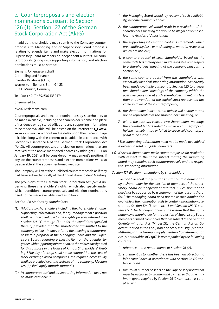### 2. Counterproposals and election nominations pursuant to Section 126 (1), Section 127 of the German Stock Corporation Act (AktG)

In addition, shareholders may submit to the Company counterproposals to Managing and/or Supervisory Board proposals relating to agenda items and make election nominations for Supervisory Board members or independent auditors. All counterproposals (along with supporting information) and election nominations must be sent to:

Siemens Aktiengesellschaft Controlling and Finance Investor Relations (CF IR) Werner-von-Siemens-Str. 1, G4.23 80333 Munich, Germany

Telefax: +49 (0) 89/636-1332474

or e-mailed to:

#### hv2021@siemens.com

Counterproposals and election nominations by shareholders to be made available, including the shareholder 's name and place of residence or registered office and any supporting information to be made available, will be posted on the Internet at  $\Box$  www. [SIEMENS.COM/AGM](http://www.siemens.com/agm) without undue delay upon their receipt, if applicable along with the content to be added in accordance with Section 127 sentence 4 of the German Stock Corporation Act (AktG). All counterproposals and election nominations that are received at the above-mentioned address by midnight (CET) on January 19, 2021 will be considered. Management's position, if any, on the counterproposals and election nominations will also be available at the above-mentioned website.

The Company will treat the published counterproposals as if they had been submitted orally at the Annual Shareholders' Meeting.

The provisions of the German Stock Corporation Act (AktG) underlying these shareholders' rights, which also specify under which conditions counterproposals and election nominations need not be made available, read as follows:

#### *Section 126 Motions by shareholders*

- *(1)* **<sup>1</sup>***Motions by shareholders including the shareholders' name, supporting information and, if any, management's position shall be made available to the eligible persons referred to in Section 125 (1) through (3) under the conditions specified therein, provided that the shareholder transmitted to the company at least 14 days prior to the meeting a counterproposal to a proposal of the Managing Board and the Supervisory Board regarding a specific item on the agenda, together with supporting information, to the address designated for this purpose in the Notice of Annual Shareholders' Meeting.* **2***The day of receipt shall not be counted.* **3***In the case of stock exchange listed companies, the required accessibility shall be provided over the website of the company.* **<sup>4</sup>***Section 125 (3) shall apply mutatis mutandis.*
- *(2)* **<sup>1</sup>***A counterproposal and its supporting information need not be made available if:*
- *1. the Managing Board would, by reason of such availability, become criminally liable;*
- *2. the counterproposal would result in a resolution of the shareholders' meeting that would be illegal or would violate the Articles of Association;*
- *3. the supporting information contains statements which are manifestly false or misleading in material respects or which are libelous;*
- *4. a counterproposal of such shareholder based on the same facts has already been made available with respect to a shareholders' meeting of the company pursuant to Section 125;*
- *5. the same counterproposal from this shareholder with essentially identical supporting information has already been made available pursuant to Section 125 to at least two shareholders' meetings of the company within the past five years and at such shareholders' meetings less than one-twentieth of the capital stock represented has voted in favor of the counterproposal;*
- *6. the shareholder indicates that he/she will neither attend nor be represented at the shareholders' meeting; or*
- *7. within the past two years at two shareholders' meetings the shareholder has failed to make a counterproposal he/she has submitted or failed to cause said counterproposal to be made.*

**<sup>2</sup>***The supporting information need not be made available if it exceeds a total of 5,000 characters.*

*(3) If several shareholders make counterproposals for resolution with respect to the same subject matter, the managing board may combine such counterproposals and the respective supporting information.*

*Section 127 Election nominations by shareholders* 

**<sup>1</sup>***Section 126 shall apply mutatis mutandis to a nomination by a shareholder for the election of members of the supervisory board or independent auditors.* **<sup>2</sup>** *Such nomination need not be supported by a statement of the reasons therefor.* **3***The managing board need not make such nomination available if the nomination fails to contain information pursuant to Section 124 (3) sentence 4 and Section 125 (1) sentence 5.* **<sup>4</sup>***The Managing Board shall ensure that the nomination by a shareholder for the election of Supervisory Board members of listed companies that are subject to the German Co-determination Act (MitbestG), the German Act on Codetermination in the Coal, Iron and Steel Industry (Montan-MitbestG) or the German Supplementary Co-determination Act (MontanMitbestGErgG) is accompanied by the following contents:* 

- *1. reference to the requirements of Section 96 (2),*
- *2. statement as to whether there has been an objection to joint compliance in accordance with Section 96 (2) sentence 3 and*
- *3. minimum number of seats on the Supervisory Board that must be occupied by women and by men so that the minimum quota required by Section 96 (2) sentence 1 is complied with.*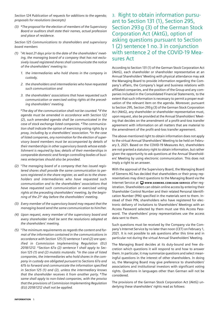*Section 124 Publication of requests for additions to the agenda; proposals for resolutions (excerpts)* 

*(3)* **<sup>4</sup>***The proposal for the election of members of the Supervisory Board or auditors shall state their names, actual profession and place of residence.* 

*Section 125 Communications to shareholders and supervisory board members* 

- *(1)* **<sup>1</sup>***At least 21 days prior to the date of the shareholders' meeting, the managing board of a company that has not exclusively issued registered shares shall communicate the notice of the shareholders' meeting to:*
	- *1. the intermediaries who hold shares in the company in custody,*
	- *2. the shareholders and intermediaries who have requested such communication and*
	- *3. the shareholders' associations that have requested such communication or exercised voting rights at the preceding shareholders' meeting.*

**<sup>2</sup>***The day of the communication shall not be counted.* **3***If the agenda must be amended in accordance with Section 122 (2), such amended agenda shall be communicated in the case of stock exchange listed companies.* **4***The communication shall indicate the option of exercising voting rights by a proxy, including by a shareholders' association.* **<sup>5</sup>***In the case of listed companies, any nomination for the election of supervisory board members must be accompanied by details of their memberships in other supervisory boards whose establishment is required by law; details of their memberships in comparable domestic and foreign controlling bodies of business enterprises should also be provided.* 

- *(2)* **<sup>1</sup>***The managing board of a company that has issued registered shares shall provide the same communication to persons registered in the share register, as well as to the shareholders and intermediaries who have requested such communication and to the shareholders' associations that have requested such communication or exercised voting rights at the preceding shareholders' meeting, by the beginning of the 21st day before the shareholders' meeting.*
- *(3) Every member of the supervisory board may request that the managing board send the same communication to him/her.*
- *(4) Upon request, every member of the supervisory board and every shareholder shall be sent the resolutions adopted at the shareholders' meeting.*
- *(5)* **<sup>1</sup>***The minimum requirements as regards the content and format of the information contained in the communications in accordance with Section 125 (1) sentence 1 and (2) are specified in Commission Implementing Regulation (EU) 2018/1212.* **2***Section 67a (2) sentence 1 shall apply to Section 125 (1) and (2) mutatis mutandis.* **3***In the case of listed companies, the intermediaries who hold shares in the company in custody are obligated pursuant to Sections 67a and 67b to forward and communicate the information specified in Section 125 (1) and (2), unless the intermediary knows that the shareholder receives it from another party.* **4***The same shall apply to non-listed companies, with the proviso that the provisions of Commission Implementing Regulation (EU) 2018/1212 shall not be applied.*

3. Right to obtain information pursuant to Section 131 (1), Section 295, Section 293g (3) of the German Stock Corporation Act (AktG), option of asking questions pursuant to Section 1 (2) sentence 1 no. 3 in conjunction with sentence 2 of the COVID-19 Measures Act

According to Section 131 (1) of the German Stock Corporation Act (AktG), each shareholder or shareholder representative at an Annual Shareholders' Meeting with physical attendance may ask the Managing Board to provide information regarding the Company's affairs, the Company's legal and business relations with affiliated companies, and the position of the Group and any companies included in the Consolidated Financial Statements, to the extent that such information is necessary to permit a proper evaluation of the relevant item on the agenda. Moreover, pursuant to Section 295, Section 293g (3) of the German Stock Corporation Act (AktG), any shareholder or shareholder representative must, upon request, also be provided at the Annual Shareholders' Meeting that decides on the amendment of a profit-and-loss transfer agreement with information on all matters that are material to the amendment of the profit-and-loss transfer agreement.

The above-mentioned right to obtain information does not apply to the virtual Annual Shareholders' Meeting to be held on February 3, 2021. Based on the COVID-19 Measures Act, shareholders are not granted a statutory right to obtain information, but rather given the opportunity to ask questions at the Annual Shareholders' Meeting by using electronic communication. This does not imply a right to an answer.

With the approval of the Supervisory Board, the Managing Board of Siemens AG has decided that shareholders or their proxy representatives may direct questions to the Managing Board via the Internet Service at  $\Box$  www.siemens.com/AGM-SERVICE after registration. Shareholders can obtain online access by entering their Shareholder Control Number and their related Personal Identification Number (PIN) specified in the materials sent to them. Instead of their PIN, shareholders who have registered for electronic delivery of invitations to Shareholders' Meetings with an Access Password selected by them must use this Access Password. The shareholders' proxy representatives use the access data sent to them.

Such questions must be received by the Company via the Company's Internet Service by no later than noon (CET) on February 1, 2021. It is not possible to ask questions after this time and in particular not during the virtual Annual Shareholders' Meeting.

The Managing Board decides at its duty-bound and free discretion which questions it will respond to and how to answer them. In particular, it may summarize questions and select meaningful questions in the interest of other shareholders. In doing so, the Managing Board may give preference to shareholders' associations and institutional investors with significant voting rights. Questions in languages other than German will not be considered.

The provisions of the German Stock Corporation Act (AktG) underlying these shareholders' rights read as follows: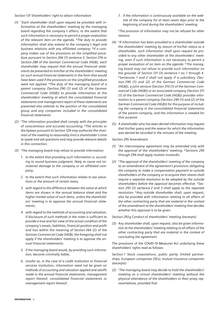*Section 131 Shareholders' right to obtain information*

- *(1)* **<sup>1</sup>***Each shareholder shall upon request be provided with information at the shareholders' meeting by the managing board regarding the company's affairs, to the extent that such information is necessary to permit a proper evaluation of the relevant item on the agenda.* **2***The duty to provide information shall also extend to the company's legal and business relations with any affiliated company.* **3***If a company makes use of the provisions on the simplified procedure pursuant to Section 266 (1) sentence 3, Section 276 or Section 288 of the German Commercial Code (HGB), each shareholder may request that the annual financial statements be presented to him/her at the shareholders' meeting on such annual financial statements in the form that would have been used if the provisions on the simplified procedure were not applied.* **4***The duty of the managing board of a parent company (Section 290 (1) and (2) of the German Commercial Code (HGB)) to provide information at the shareholders' meeting at which the consolidated financial statements and management report of these statements are presented also extends to the position of the consolidated group and any companies included in the consolidated financial statements.*
- *(2)* **<sup>1</sup>***The information provided shall comply with the principles of conscientious and accurate accounting.* **2***The articles or the bylaws pursuant to Section 129 may authorize the chairman of the meeting to reasonably limit a shareholder 's time to speak and ask questions and may provide relevant details in this connection.*
- *(3)* **<sup>1</sup>***The managing board may refuse to provide information:*
	- *1. to the extent that providing such information is, according to sound business judgment, likely to cause not immaterial damage to the company or an affiliated company;*
	- *2. to the extent that such information relates to tax valuations or the amount of certain taxes;*
	- *3. with regard to the difference between the value at which items are shown in the annual balance sheet and the higher market value of such items, unless the shareholders' meeting is to approve the annual financial statements;*
	- *4. with regard to the methods of accounting and valuation, if disclosure of such methods in the notes is sufficient to provide a true and fair view of the actual condition of the company's assets, liabilities, financial position and profit and loss within the meaning of Section 264 (2) of the German Commercial Code (HGB); the foregoing shall not apply if the shareholders' meeting is to approve the annual financial statements;*
	- *5. if the managing board would, by providing such information, become criminally liable;*
	- *6. insofar as, in the case of a credit institution or financial services institution, information need not be given on methods of accounting and valuation applied and setoffs made in the annual financial statements, management report thereof, consolidated financial statements or management report thereof;*

*7. if the information is continuously available on the website of the company for at least seven days prior to the beginning of and during the shareholders' meeting.*

**<sup>2</sup>***The provision of information may not be refused for other reasons.*

- *(4)* **<sup>1</sup>** *If information has been provided to a shareholder outside the shareholders' meeting by reason of his/her status as a shareholder, such information shall upon request be provided to any other shareholder at the shareholders' meeting, even if such information is not necessary to permit a proper evaluation of an item on the agenda.* **<sup>2</sup>** *The managing board may not refuse to provide such information on the grounds of Section 131 (3) sentence 1 no. 1 through 4.*  **<sup>3</sup>** *Sentences 1 and 2 shall not apply if a subsidiary (Section 290 (1) and (2) of the German Commercial Code (HGB)), a joint venture (Section 310 (1) of the German Commercial Code (HGB)) or an associated company (Section 311 (1) of the German Commercial Code (HGB)) provides information to a parent company (Section 290 (1) and (2) of the German Commercial Code (HGB)) for the purpose of including the company in the consolidated financial statements of the parent company, and the information is needed for that purpose.*
- *(5) A shareholder who has been denied information may request that his/her query and the reason for which the information was denied be recorded in the minutes of the meeting.*

*Section 295 Amendment*

- *(1)* **1***An intercompany agreement may be amended only with the approval of the shareholders' meeting.* **2***Sections 293 through 294 shall apply mutatis mutandis.*
- *(2)* **1***The approval of the shareholders' meeting of the company to an amendment of the agreement's provisions obligating the company to make a compensation payment to outside shareholders of the company or to acquire their shares shall require a separate resolution to be adopted by the outside shareholders before the approval becomes effective.* **2***Section 293 (1) sentence 2 and 3 shall apply to the separate resolution.* **3***Any outside shareholder shall, upon request, also be provided with information relating to all affairs of the other contracting party that are material in the context of the amendment at the shareholders' meeting that decides whether this approval is to be given.*

*Section 293g Conduct of shareholders' meeting (excerpts)*

*(3) Any shareholder shall, upon request, also be given information at the shareholders' meeting relating to all affairs of the other contracting party that are material in the context of concluding the agreement.*

The provisions of the COVID-19 Measures Act underlying these shareholders' rights read as follows:

*Section 1 Stock corporations; public partly limited partnerships; European companies (SEs); mutual insurance companies (excerpts)*

*(2)* **<sup>1</sup>***The managing board may decide to hold the shareholders' meeting as a virtual shareholders' meeting without the physical attendance of the shareholders or their proxy representatives, provided that*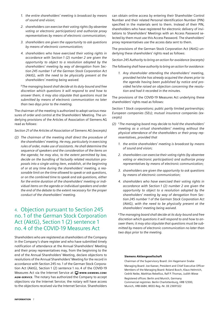- *1. the entire shareholders' meeting is broadcast by means of sound and vision;*
- *2. shareholders can exercise their voting rights (by absentee voting or electronic participation) and authorize proxy representatives by means of electronic communication;*
- *3. shareholders are given the opportunity to ask questions by means of electronic communication;*
- *4. shareholders who have exercised their voting rights in accordance with Section 1 (2) number 2 are given the opportunity to object to a resolution adopted by the shareholders' meeting by way of derogation from Section 245 number 1 of the German Stock Corporation Act (AktG), with the need to be physically present at the shareholders' meeting being waived.*

**<sup>2</sup>***The managing board shall decide at its duty-bound and free discretion which questions it will respond to and how to answer them; it may also stipulate that questions must be submitted by means of electronic communication no later than two days prior to the meeting.*

The chairman of the meeting is authorized to adopt various measures of order and control at the Shareholders' Meeting. The underlying provisions of the Articles of Association of Siemens AG read as follows:

*Section 21 of the Articles of Association of Siemens AG (excerpts)*

*(2) The chairman of the meeting shall direct the procedure of the shareholders' meeting. He may, particularly in exercising rules of order, make use of assistants. He shall determine the sequence of speakers and the consideration of the items on the agenda; he may also, to the extent permitted by law, decide on the bundling of factually related resolution proposals into a single voting item, establish, at the beginning of or at any time during the shareholders' meeting, a reasonable limit on the time allowed to speak or ask questions, or on the combined time to speak and ask questions, either for the entire duration of the shareholders' meeting or individual items on the agenda or individual speakers and order the end of the debate to the extent necessary for the proper conduct of the shareholders' meeting.*

## 4. Objection pursuant to Section 245 no. 1 of the German Stock Corporation Act (AktG), Section 1 (2) sentence 1 no. 4 of the COVID-19 Measures Act

Shareholders who are registered as shareholders of the Company in the Company's share register and who have submitted timely notification of attendance at the Annual Shareholders' Meeting and their proxy representatives may, from the beginning to the end of the Annual Shareholders' Meeting, declare objections to resolutions of the Annual Shareholders' Meeting for the record in accordance with Section 245 no. 1 of the German Stock Corporation Act (AktG), Section 1 (2) sentence 1 no. 4 of the COVID-19 Measures Act via the Internet Service at  $\Box$  www.siemens.com/ [AGM-SERVICE](http://www.siemens.com/agm-service). The notary has authorized the Company to accept objections via the Internet Service; the notary will have access to the objections received via the Internet Service. Shareholders

can obtain online access by entering their Shareholder Control Number and their related Personal Identification Number (PIN) specified in the materials sent to them. Instead of their PIN, shareholders who have registered for electronic delivery of invitations to Shareholders' Meetings with an Access Password selected by them must use this Access Password. The shareholders' proxy representatives use the access data sent to them.

The provisions of the German Stock Corporation Act (AktG) underlying these shareholders' rights read as follows:

*Section 245 Authority to bring an action for avoidance (excerpts)*

*The following shall have authority to bring an action for avoidance:*

*1. Any shareholder attending the shareholders' meeting, provided he/she has already acquired the shares prior to the agenda having been published by notice and provided he/she raised an objection concerning the resolution and had it recorded in the minutes.*

The provisions of the COVID-19 Measures Act underlying these shareholders' rights read as follows:

*Section 1 Stock corporations; public partly limited partnerships; European companies (SEs); mutual insurance companies (excerpts)*

- *(2)* **<sup>1</sup>***The managing board may decide to hold the shareholders' meeting as a virtual shareholders' meeting without the physical attendance of the shareholders or their proxy representatives, provided that*
	- *1. the entire shareholders' meeting is broadcast by means of sound and vision;*
	- *2. shareholders can exercise their voting rights (by absentee voting or electronic participation) and authorize proxy representatives by means of electronic communication;*
	- *3. shareholders are given the opportunity to ask questions by means of electronic communication;*
	- *4. shareholders who have exercised their voting rights in accordance with Section 1 (2) number 2 are given the opportunity to object to a resolution adopted by the shareholders' meeting by way of derogation from Section 245 number 1 of the German Stock Corporation Act (AktG), with the need to be physically present at the shareholders' meeting being waived.*

**<sup>2</sup>***The managing board shall decide at its duty-bound and free discretion which questions it will respond to and how to answer them; it may also stipulate that questions must be submitted by means of electronic communication no later than two days prior to the meeting.*

#### Siemens Aktiengesellschaft

Chairman of the Supervisory Board: Jim Hagemann Snabe Managing Board: Joe Kaeser, President and Chief Executive Officer Members of the Managing Board: Roland Busch, Klaus Helmrich, Cedrik Neike, Matthias Rebellius, Ralf P. Thomas, Judith Wiese Registered offices: Berlin and Munich, Germany Commercial registries: Berlin Charlottenburg, HRB 12300, Munich, HRB 6684; WEEE-Reg.-Nr. DE 23691322